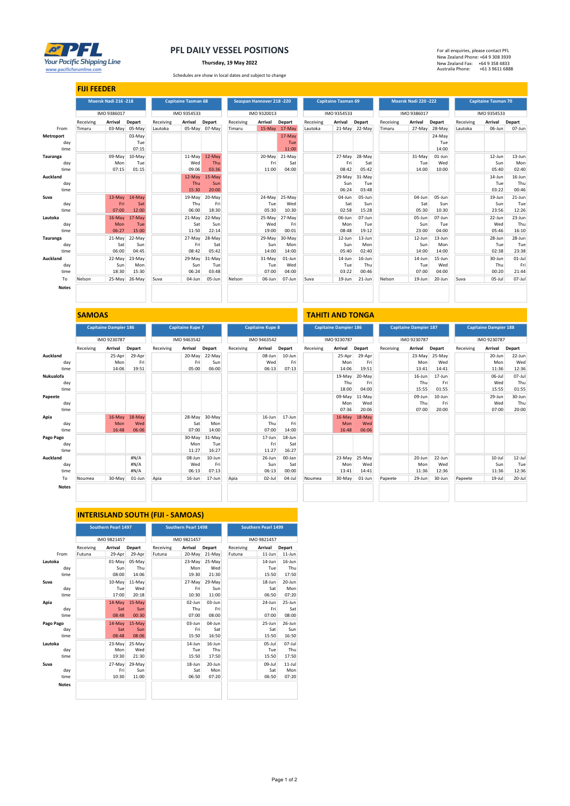

## PFL DAILY VESSEL POSITIONS

Thursday, 19 May 2022

www.pacificforumline.com +61 3 9611 6888<br>Schedules are show in local dates and subject to change<br>
Schedules are show in local dates and subject to change

| For all enquiries, please contact PFL |                 |
|---------------------------------------|-----------------|
| New Zealand Phone: +64 9 308 3939     |                 |
| New Zealand Fax:                      | +64 9 358 4833  |
| Australia Phone:                      | +61 3 9611 6888 |

|                 | <b>FIJI FEEDER</b> |                      |               |           |                            |               |           |                           |               |           |                            |               |           |                     |           |           |                            |               |
|-----------------|--------------------|----------------------|---------------|-----------|----------------------------|---------------|-----------|---------------------------|---------------|-----------|----------------------------|---------------|-----------|---------------------|-----------|-----------|----------------------------|---------------|
|                 |                    | Maersk Nadi 216 -218 |               |           | <b>Capitaine Tasman 68</b> |               |           | Seaspan Hannover 218 -220 |               |           | <b>Capitaine Tasman 69</b> |               |           | Maersk Nadi 220-222 |           |           | <b>Capitaine Tasman 70</b> |               |
|                 |                    | IMO 9386017          |               |           | IMO 9354533                |               |           | IMO 9320013               |               |           | IMO 9354533                |               |           | IMO 9386017         |           |           | IMO 9354533                |               |
|                 | Receiving          | Arrival              | Depart        | Receiving | Arrival                    | Depart        | Receiving | Arrival                   | <b>Depart</b> | Receiving | Arrival                    | Depart        | Receiving | Arrival             | Depart    | Receiving | Arrival                    | <b>Depart</b> |
| From            | Timaru             |                      | 03-May 05-May | Lautoka   |                            | 05-May 07-May | Timaru    |                           | 15-May 17-May | Lautoka   |                            | 21-May 22-May | Timaru    | 27-May              | 28-May    | Lautoka   | 06-Jun                     | 07-Jun        |
| Metroport       |                    |                      | 03-May        |           |                            |               |           |                           | 17-May        |           |                            |               |           |                     | 24-May    |           |                            |               |
| day             |                    |                      | Tue           |           |                            |               |           |                           | Tue           |           |                            |               |           |                     | Tue       |           |                            |               |
| time            |                    |                      | 07:15         |           |                            |               |           |                           | 11:00         |           |                            |               |           |                     | 14:00     |           |                            |               |
| Tauranga        |                    | 09-May               | 10-May        |           | 11-May                     | 12-May        |           | 20-May                    | 21-May        |           | 27-May                     | 28-May        |           | 31-May              | $01$ -Jun |           | $12$ -Jun                  | $13 - Jun$    |
| day             |                    | Mon                  | Tue           |           | Wed                        | Thu           |           | Fri                       | Sat           |           | Fri                        | Sat           |           | Tue                 | Wed       |           | Sun                        | Mon           |
| time            |                    | 07:15                | 01:15         |           | 09:06                      | 03:36         |           | 11:00                     | 04:00         |           | 08:42                      | 05:42         |           | 14:00               | 10:00     |           | 05:40                      | 02:40         |
| Auckland        |                    |                      |               |           | 12-May                     | 15-May        |           |                           |               |           | 29-May                     | 31-May        |           |                     |           |           | $14$ -Jun                  | 16-Jun        |
| day             |                    |                      |               |           | Thu                        | Sun           |           |                           |               |           | Sun                        | Tue           |           |                     |           |           | Tue                        | Thu           |
| time            |                    |                      |               |           | 15:30                      | 20:00         |           |                           |               |           | 06:24                      | 03:48         |           |                     |           |           | 03:22                      | 00:46         |
| Suva            |                    | $13-May$             | $14$ -May     |           | 19-May                     | 20-May        |           | 24-May                    | 25-May        |           | 04-Jun                     | 05-Jun        |           | 04-Jun              | 05-Jun    |           | $19 - Jun$                 | $21 - Jun$    |
| day             |                    | Fri                  | Sat           |           | Thu                        | Fri           |           | Tue                       | Wed           |           | Sat                        | Sun           |           | Sat                 | Sun       |           | Sun                        | Tue           |
| time            |                    | 07:00                | 12:00         |           | 06:00                      | 18:30         |           | 05:30                     | 10:30         |           | 02:58                      | 15:28         |           | 05:30               | 10:30     |           | 23:56                      | 12:26         |
| Lautoka         |                    | $16$ -May            | $17-May$      |           | 21-May                     | 22-May        |           | 25-May                    | 27-May        |           | 06-Jun                     | 07-Jun        |           | 05-Jun              | 07-Jun    |           | $22$ -Jun                  | 23-Jun        |
| dav             |                    | Mon                  | Tue           |           | Sat                        | Sun           |           | Wed                       | Fri           |           | Mon                        | Tue           |           | Sun                 | Tue       |           | Wed                        | Thu           |
| time            |                    | 06:27                | 15:00         |           | 11:50                      | 22:14         |           | 19:00                     | 00:01         |           | 08:48                      | 19:12         |           | 23:00               | 04:00     |           | 05:46                      | 16:10         |
| <b>Tauranga</b> |                    | 21-May               | 22-May        |           | 27-May                     | 28-May        |           | 29-May                    | 30-May        |           | $12$ -Jun                  | $13 - Jun$    |           | 12-Jun              | 13-Jun    |           | 28-Jun                     | 28-Jun        |
| dav             |                    | Sat                  | Sun           |           | Fri                        | Sat           |           | Sun                       | Mon           |           | Sun                        | Mon           |           | Sun                 | Mon       |           | Tue                        | Tue           |
| time            |                    | 06:00                | 04:45         |           | 08:42                      | 05:42         |           | 14:00                     | 14:00         |           | 05:40                      | 02:40         |           | 14:00               | 14:00     |           | 02:38                      | 23:38         |
| Auckland        |                    | 22-May               | 23-May        |           | 29-May                     | 31-May        |           | 31-May                    | $01$ -Jun     |           | $14$ -Jun                  | $16 - Jun$    |           | 14-Jun              | 15-Jun    |           | 30-Jun                     | $01$ -Jul     |
| day             |                    | Sun                  | Mon           |           | Sun                        | Tue           |           | Tue                       | Wed           |           | Tue                        | Thu           |           | Tue                 | Wed       |           | Thu                        | Fri           |
| time            |                    | 18:30                | 15:30         |           | 06:24                      | 03:48         |           | 07:00                     | 04:00         |           | 03:22                      | 00:46         |           | 07:00               | 04:00     |           | 00:20                      | 21:44         |
| To              | Nelson             |                      | 25-May 26-May | Suva      | 04-Jun                     | 05-Jun        | Nelson    | 06-Jun                    | 07-Jun        | Suva      | $19 - Jun$                 | $21 - Jun$    | Nelson    | 19-Jun              | 20-Jun    | Suva      | $05 -$ Jul                 | $07 -$ Jul    |
| <b>Notes</b>    |                    |                      |               |           |                            |               |           |                           |               |           |                            |               |           |                     |           |           |                            |               |
|                 |                    |                      |               |           |                            |               |           |                           |               |           |                            |               |           |                     |           |           |                            |               |

|           |              | <b>SAMOAS</b> |                              |        |           |                         |            |           |                         |        | <b>TAHITI AND TONGA</b> |                              |           |           |                              |            |           |                              |           |
|-----------|--------------|---------------|------------------------------|--------|-----------|-------------------------|------------|-----------|-------------------------|--------|-------------------------|------------------------------|-----------|-----------|------------------------------|------------|-----------|------------------------------|-----------|
|           |              |               | <b>Capitaine Dampier 186</b> |        |           | <b>Capitaine Kupe 7</b> |            |           | <b>Capitaine Kupe 8</b> |        |                         | <b>Capitaine Dampier 186</b> |           |           | <b>Capitaine Dampier 187</b> |            |           | <b>Capitaine Dampier 188</b> |           |
|           |              |               | IMO 9230787                  |        |           | IMO 9463542             |            |           | IMO 9463542             |        |                         | IMO 9230787                  |           |           | IMO 9230787                  |            |           | IMO 9230787                  |           |
|           |              | Receiving     | Arrival                      | Depart | Receiving | Arrival                 | Depart     | Receiving | Arrival                 | Depart | Receiving               | Arrival                      | Depart    | Receiving | Arrival                      | Depart     | Receiving | Arrival                      | Depart    |
| Auckland  |              |               | 25-Apr                       | 29-Apr |           | 20-May                  | 22-May     |           | 08-Jun                  | 10-Jun |                         | 25-Apr                       | 29-Apr    |           | 23-May                       | 25-May     |           | 20-Jun                       | 22-Jun    |
|           | day          |               | Mon                          | Fri    |           | Fri                     | Sun        |           | Wed                     | Fri    |                         | Mon                          | Fri       |           | Mon                          | Wed        |           | Mon                          | Wed       |
|           | time         |               | 14:06                        | 19:51  |           | 05:00                   | 06:00      |           | 06:13                   | 07:13  |                         | 14:06                        | 19:51     |           | 13:41                        | 14:41      |           | 11:36                        | 12:36     |
| Nukualofa |              |               |                              |        |           |                         |            |           |                         |        |                         | 19-May                       | 20-May    |           | 16-Jun                       | $17 - Jun$ |           | 06-Jul                       | 07-Jul    |
|           | day          |               |                              |        |           |                         |            |           |                         |        |                         | Thu                          | Fri       |           | Thu                          | Fri        |           | Wed                          | Thu       |
|           | time         |               |                              |        |           |                         |            |           |                         |        |                         | 18:00                        | 04:00     |           | 15:55                        | 01:55      |           | 15:55                        | 01:55     |
| Papeete   |              |               |                              |        |           |                         |            |           |                         |        |                         | 09-May                       | 11-May    |           | 09-Jun                       | $10 - Jun$ |           | 29-Jun                       | 30-Jun    |
|           | day          |               |                              |        |           |                         |            |           |                         |        |                         | Mon                          | Wed       |           | Thu                          | Fri        |           | Wed                          | Thu       |
|           | time         |               |                              |        |           |                         |            |           |                         |        |                         | 07:36                        | 20:06     |           | 07:00                        | 20:00      |           | 07:00                        | 20:00     |
| Apia      |              |               | $16$ -May                    | 18-May |           | 28-May                  | 30-May     |           | 16-Jun                  | 17-Jun |                         | $16$ -May                    | 18-May    |           |                              |            |           |                              |           |
|           | day          |               | Mon                          | Wed    |           | Sat                     | Mon        |           | Thu                     | Fri    |                         | Mon                          | Wed       |           |                              |            |           |                              |           |
|           | time         |               | 16:48                        | 06:06  |           | 07:00                   | 14:00      |           | 07:00                   | 14:00  |                         | 16:48                        | 06:06     |           |                              |            |           |                              |           |
| Pago Pago |              |               |                              |        |           | 30-May                  | 31-May     |           | 17-Jun                  | 18-Jun |                         |                              |           |           |                              |            |           |                              |           |
|           | day          |               |                              |        |           | Mon                     | Tue        |           | Fri                     | Sat    |                         |                              |           |           |                              |            |           |                              |           |
|           | time         |               |                              |        |           | 11:27                   | 16:27      |           | 11:27                   | 16:27  |                         |                              |           |           |                              |            |           |                              |           |
| Auckland  |              |               |                              | #N/A   |           | 08-Jun                  | $10 - Jun$ |           | 26-Jun                  | 00-Jan |                         | 23-May                       | 25-May    |           | 20-Jun                       | $22 - Jun$ |           | $10 -$ Jul                   | $12$ -Jul |
|           | day          |               |                              | #N/A   |           | Wed                     | Fri        |           | Sun                     | Sat    |                         | Mon                          | Wed       |           | Mon                          | Wed        |           | Sun                          | Tue       |
|           | time         |               |                              | #N/A   |           | 06:13                   | 07:13      |           | 06:13                   | 00:00  |                         | 13:41                        | 14:41     |           | 11:36                        | 12:36      |           | 11:36                        | 12:36     |
|           | To           | Noumea        | 30-May                       | 01-Jun | Apia      | 16-Jun                  | 17-Jun     | Apia      | $02$ -Jul               | 04-Jul | Noumea                  | 30-May                       | $01$ -Jun | Papeete   | 29-Jun                       | 30-Jun     | Papeete   | $19 -$ Jul                   | 20-Jul    |
|           | <b>Notes</b> |               |                              |        |           |                         |            |           |                         |        |                         |                              |           |           |                              |            |           |                              |           |
|           |              |               |                              |        |           |                         |            |           |                         |        |                         |                              |           |           |                              |            |           |                              |           |

## INTERISLAND SOUTH (FIJI - SAMOAS)

|              |           | <b>Southern Pearl 1497</b> |        |           | <b>Southern Pearl 1498</b> |                   | <b>Southern Pearl 1499</b> |             |            |  |  |
|--------------|-----------|----------------------------|--------|-----------|----------------------------|-------------------|----------------------------|-------------|------------|--|--|
|              |           | IMO 9821457                |        |           | IMO 9821457                |                   | IMO 9821457                |             |            |  |  |
|              | Receiving | <b>Arrival</b>             | Depart | Receiving | Arrival                    | Depart            | Receiving                  | Arrival     | Depart     |  |  |
| From         | Futuna    | 29-Apr                     | 29-Apr | Futuna    | 20-May                     | 21-May            | Futuna                     | $11$ -Jun   | $11$ -Jun  |  |  |
| Lautoka      |           | 01-May                     | 05-May |           | 23-May                     | 25-May            |                            | $14$ -lun   | $16$ -lun  |  |  |
| dav          |           | Sun                        | Thu    |           | Mon                        | Wed               |                            | Tue         | Thu        |  |  |
| time         |           | 08:00                      | 14:06  |           | 19:30                      | 21:30             |                            | 15:50       | 17:50      |  |  |
| Suva         |           | 10-May                     | 11-Mav |           | 27-May                     | 29-May            |                            | $18 - I$ un | $20-1$ un  |  |  |
| day          |           | Tue                        | Wed    |           | Fri                        | Sun               |                            | Sat         | Mon        |  |  |
| time         |           | 17:00                      | 20:18  |           | 10:30                      | 11:00             |                            | 06:50       | 07:20      |  |  |
| Apia         |           | 14-May                     | 15-May |           | $02$ -lun                  | $03 - lun$        |                            | $24$ -lun   | 25-Jun     |  |  |
| day          |           | Sat                        | Sun    |           | Thu                        | Fri               |                            | Fri         | Sat        |  |  |
| time         |           | 08:48                      | 00:30  |           | 07:00                      | 08:00             |                            | 07:00       | 08:00      |  |  |
| Pago Pago    |           | 14-May                     | 15-May |           | 03-Jun                     | $04$ -lun         |                            | $25 - Jun$  | 26-Jun     |  |  |
| dav          |           | Sat                        | Sun    |           | Fri                        | Sat               |                            | Sat         | Sun        |  |  |
| time         |           | 08:48                      | 08:06  |           | 15:50                      | 16:50             |                            | 15:50       | 16:50      |  |  |
| Lautoka      |           | 23-May                     | 25-May |           | 14-Jun                     | $16$ -lun         |                            | 05-Jul      | $07 -$ Jul |  |  |
| dav          |           | Mon                        | Wed    |           | Tue                        | Thu               |                            | Tue         | Thu        |  |  |
| time         |           | 19:30                      | 21:30  |           | 15:50                      | 17:50             |                            | 15:50       | 17:50      |  |  |
| Suva         |           | 27-May                     | 29-May |           | 18-Jun                     | $20 - \text{lun}$ |                            | $09$ -lul   | $11 -$ Jul |  |  |
| day          |           | Fri                        | Sun    |           | Sat                        | Mon               |                            | Sat         | Mon        |  |  |
| time         |           | 10:30                      | 11:00  |           | 06:50                      | 07:20             |                            | 06:50       | 07:20      |  |  |
| <b>Notes</b> |           |                            |        |           |                            |                   |                            |             |            |  |  |
|              |           |                            |        |           |                            |                   |                            |             |            |  |  |